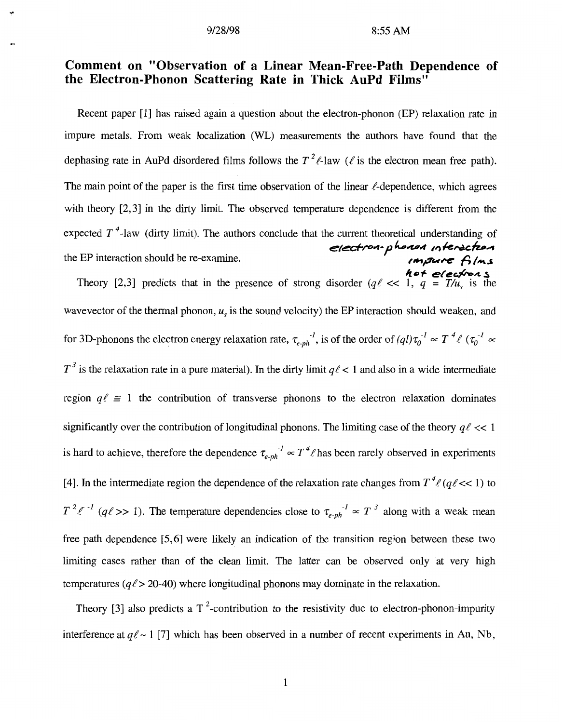## **Comment on "Observation of a Linear Mean-Free-Path Dependence of the Electron-Phonon Scattering Rate in Thick AuPd Films"**

Recent paper [1] has raised again a question about the electron-phonon (EP) relaxation rate in impure metals. From weak localization (WL) measurements the authors have found that the dephasing rate in AuPd disordered films follows the  $T^2\ell$ -law ( $\ell$  is the electron mean free path). The main point of the paper is the first time observation of the linear  $\ell$ -dependence, which agrees with theory [2,3] in the dirty limit. The observed temperature dependence is different from the expected  $T^4$ -law (dirty limit). The authors conclude that the current theoretical understanding of the EP interaction should be re-examine.<br>the EP interaction should be re-examine.

> Theory [2,3] predicts that in the presence of strong disorder  $(q\ell \ll 1, q = T/u_s$  is the */io+ tT(L+AS*  wavevector of the thermal phonon,  $u<sub>s</sub>$  is the sound velocity) the EP interaction should weaken, and for 3D-phonons the electron energy relaxation rate,  $\tau_{e-ph}^{-1}$ , is of the order of  $(ql)\tau_0^{-1} \propto T^4\ell (\tau_0^{-1} \propto T^4\ell^2)$  $T^3$  is the relaxation rate in a pure material). In the dirty limit  $q\ell$  < 1 and also in a wide intermediate region  $q\ell \approx 1$  the contribution of transverse phonons to the electron relaxation dominates significantly over the contribution of longitudinal phonons. The limiting case of the theory *q/* << 1 is hard to achieve, therefore the dependence  $\tau_{e-ph}^{\prime} \propto T^4 \ell$  has been rarely observed in experiments [4]. In the intermediate region the dependence of the relaxation rate changes from  $T^4\ell(q\ell\ll 1)$  to  $T^2 \ell^{-1}$  (q $\ell >> 1$ ). The temperature dependencies close to  $\tau_{e-ph}^{-1} \propto T^3$  along with a weak mean free path dependence [5,6] were likely an indication of the transition region between these two limiting cases rather than of the clean limit. The latter can be observed only at very high temperatures *(q/>* 20-40) where longitudinal phonons may dominate in the relaxation.

> Theory [3] also predicts a  $T^2$ -contribution to the resistivity due to electron-phonon-impurity interference at  $q\ell \sim 1$  [7] which has been observed in a number of recent experiments in Au, Nb,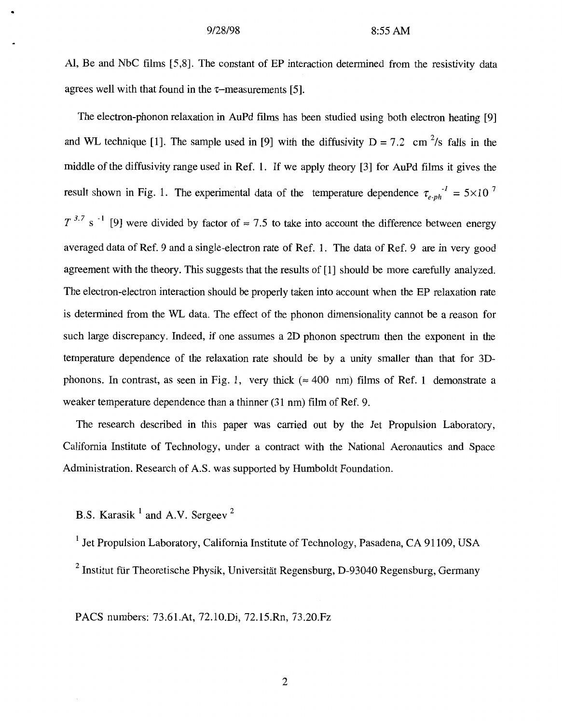AI, Be and NbC films [5,8]. The constant of EP interaction determined from the resistivity data agrees well with that found in the  $\tau$ -measurements [5].

The electron-phonon relaxation in AuPd films has been studied using both electron heating [9] and WL technique [1]. The sample used in [9] with the diffusivity  $D = 7.2$  cm  $\frac{2}{s}$  falls in the middle of the diffusivity range used in Ref. 1. If we apply theory [3] for AuPd films it gives the result shown in [Fig. 1.](#page-3-0) The experimental data of the temperature dependence  $\tau_{e}$ <sup>-1</sup> = 5×10<sup>7</sup>  $T^{3.7}$  s<sup>-1</sup> [9] were divided by factor of  $\approx 7.5$  to take into account the difference between energy averaged data of Ref. 9 and a single-electron rate of Ref. 1. The data of Ref. 9 are in very good agreement with the theory. This suggests that the results of [l] should be more carefully analyzed. The electron-electron interaction should be properly taken into account when the EP relaxation rate is determined from the WL data. The effect of the phonon dimensionality cannot be a reason for such large discrepancy. Indeed, if one assumes a 2D phonon spectrum then the exponent in the temperature dependence of the relaxation rate should be by a unity smaller than that for 3Dphonons. In contrast, as seen in Fig. 1, very thick ( $\approx 400$  nm) films of Ref. 1 demonstrate a weaker temperature dependence than a thinner (31 nm) film of Ref. 9.

The research described in this paper was carried out by the Jet Propulsion Laboratory, California Institute of Technology, under a contract with the National Aeronautics and Space Administration. Research of A.S. was supported by Humboldt Foundation.

**B.S. Karasik** <sup>1</sup> and A.V. Sergeev<sup>2</sup>

<sup>1</sup> Jet Propulsion Laboratory, California Institute of Technology, Pasadena, CA 91109, USA

 $2$  Institut für Theoretische Physik, Universität Regensburg, D-93040 Regensburg, Germany

PACS numbers: 73.61.At, 72.10.Di, 72.15.Rn, 73.20.Fz

2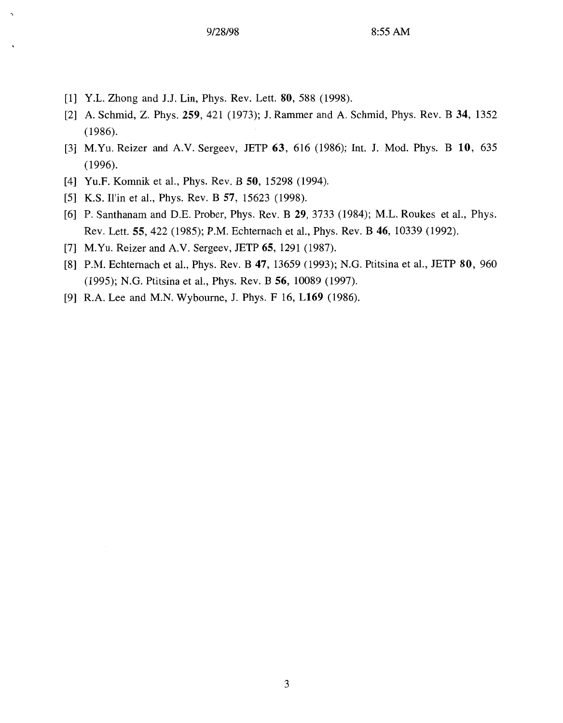- [l] Y.L. Zhong and J.J. Lin, Phys. Rev. Lett. **80,** 588 (1998).
- [2] A. Schmid, Z. Phys. **259,** 421 (1973); J. Rammer and A. Schmid, Phys. Rev. B **34,** 1352 (1986).
- [3] M.Yu. Reizer and A.V. Sergeev, JETP **63,** 616 (1986); Int. J. Mod. Phys. B **10,** 635 (1996).
- [4] Yu.F. Komnik et al., Phys. Rev. B **50,** 15298 (1994).
- [5] K.S. Il'in et al., Phys. Rev. B **57,** 15623 (1998).
- [6] P. Santhanam and D.E. Prober, Phys. Rev. B **29,** 3733 (1984); M.L. Roukes et al., Phys. Rev. Lett. **55,** 422 (1985); P.M. Echternach et al., Phys. Rev. B **46,** 10339 (1992).
- [7] M.Yu. Reizer and A.V. Sergeev, JETP **65,** 1291 (1987).
- [8] P.M. Echternach et al., Phys. Rev. B **47,** 13659 (1993); N.G. Ptitsina et al., JETP **80,** 960 (1995); N.G. Ptitsina et al., Phys. Rev. B **56,** 10089 (1997).
- [9] R.A. Lee and M.N. Wybourne, J. Phys. F 16, **L169** (1986).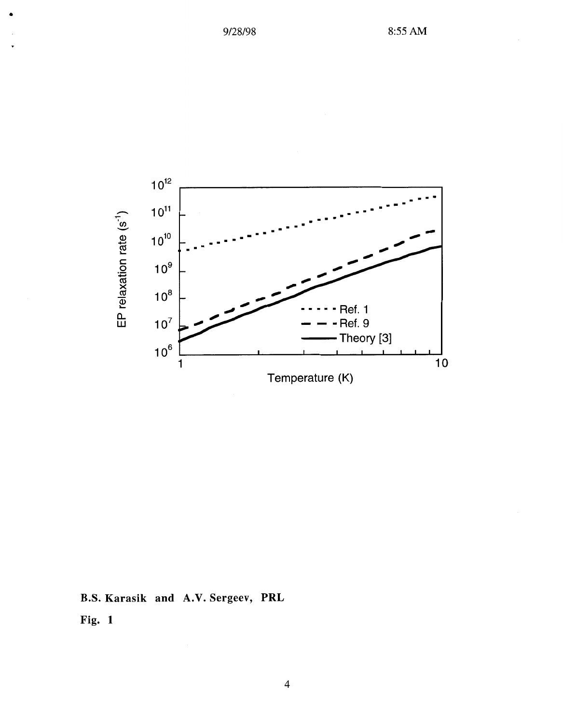<span id="page-3-0"></span>

B.S. Karasik and A.V. Sergeev, PRL

Fig. 1